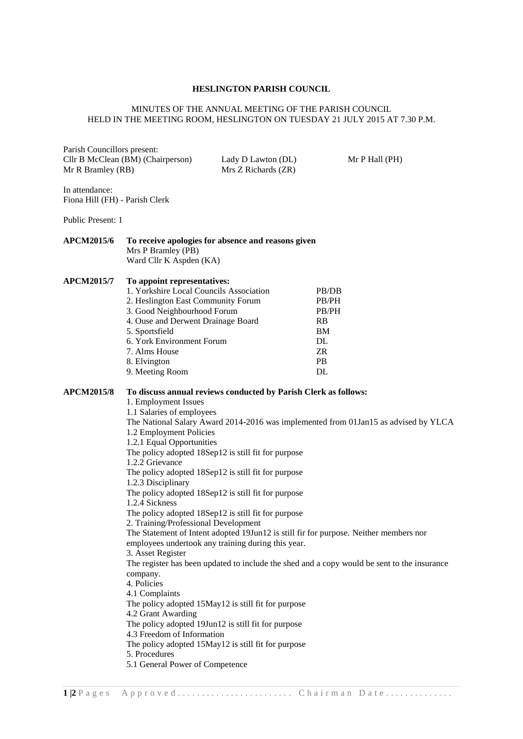## **HESLINGTON PARISH COUNCIL**

## MINUTES OF THE ANNUAL MEETING OF THE PARISH COUNCIL HELD IN THE MEETING ROOM, HESLINGTON ON TUESDAY 21 JULY 2015 AT 7.30 P.M.

Parish Councillors present: Cllr B McClean (BM) (Chairperson) Lady D Lawton (DL) Mr P Hall (PH) Mr R Bramley (RB) Mrs Z Richards (ZR)

In attendance: Fiona Hill (FH) - Parish Clerk

Public Present: 1

## **APCM2015/6 To receive apologies for absence and reasons given** Mrs P Bramley (PB) Ward Cllr K Aspden (KA)

**APCM2015/7 To appoint representatives:**

| 1. Yorkshire Local Councils Association | PB/DB        |
|-----------------------------------------|--------------|
| 2. Heslington East Community Forum      | <b>PB/PH</b> |
| 3. Good Neighbourhood Forum             | <b>PB/PH</b> |
| 4. Ouse and Derwent Drainage Board      | <b>RB</b>    |
| 5. Sportsfield                          | BM           |
| 6. York Environment Forum               | DL           |
| 7. Alms House                           | ZR           |
| 8. Elvington                            | <b>PB</b>    |
| 9. Meeting Room                         | DL           |
|                                         |              |

## **APCM2015/8 To discuss annual reviews conducted by Parish Clerk as follows:**

1. Employment Issues 1.1 Salaries of employees The National Salary Award 2014-2016 was implemented from 01Jan15 as advised by YLCA 1.2 Employment Policies 1.2.1 Equal Opportunities The policy adopted 18Sep12 is still fit for purpose 1.2.2 Grievance The policy adopted 18Sep12 is still fit for purpose 1.2.3 Disciplinary The policy adopted 18Sep12 is still fit for purpose 1.2.4 Sickness The policy adopted 18Sep12 is still fit for purpose 2. Training/Professional Development The Statement of Intent adopted 19Jun12 is still fir for purpose. Neither members nor employees undertook any training during this year. 3. Asset Register The register has been updated to include the shed and a copy would be sent to the insurance company. 4. Policies 4.1 Complaints The policy adopted 15May12 is still fit for purpose 4.2 Grant Awarding The policy adopted 19Jun12 is still fit for purpose 4.3 Freedom of Information The policy adopted 15May12 is still fit for purpose 5. Procedures 5.1 General Power of Competence